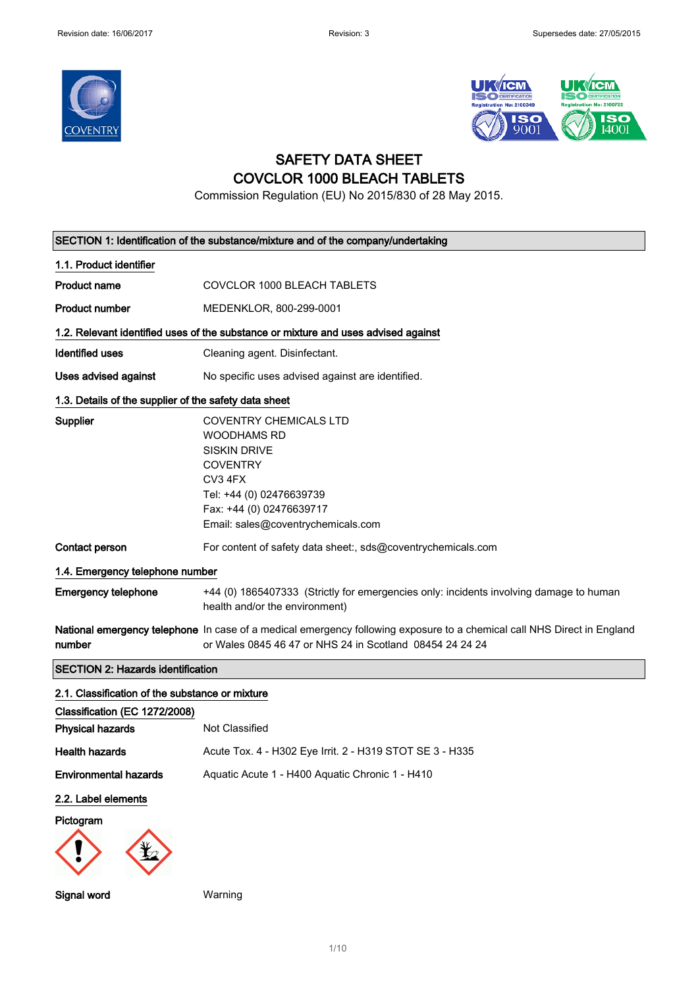



## SAFETY DATA SHEET COVCLOR 1000 BLEACH TABLETS

Commission Regulation (EU) No 2015/830 of 28 May 2015.

|                                                       | SECTION 1: Identification of the substance/mixture and of the company/undertaking                                                                                                                      |  |
|-------------------------------------------------------|--------------------------------------------------------------------------------------------------------------------------------------------------------------------------------------------------------|--|
| 1.1. Product identifier                               |                                                                                                                                                                                                        |  |
| <b>Product name</b>                                   | COVCLOR 1000 BLEACH TABLETS                                                                                                                                                                            |  |
| <b>Product number</b>                                 | MEDENKLOR, 800-299-0001                                                                                                                                                                                |  |
|                                                       | 1.2. Relevant identified uses of the substance or mixture and uses advised against                                                                                                                     |  |
| <b>Identified uses</b>                                | Cleaning agent. Disinfectant.                                                                                                                                                                          |  |
| Uses advised against                                  | No specific uses advised against are identified.                                                                                                                                                       |  |
| 1.3. Details of the supplier of the safety data sheet |                                                                                                                                                                                                        |  |
| Supplier                                              | <b>COVENTRY CHEMICALS LTD</b><br><b>WOODHAMS RD</b><br><b>SISKIN DRIVE</b><br><b>COVENTRY</b><br>CV3 4FX<br>Tel: +44 (0) 02476639739<br>Fax: +44 (0) 02476639717<br>Email: sales@coventrychemicals.com |  |
| Contact person                                        | For content of safety data sheet:, sds@coventrychemicals.com                                                                                                                                           |  |
| 1.4. Emergency telephone number                       |                                                                                                                                                                                                        |  |
| <b>Emergency telephone</b>                            | +44 (0) 1865407333 (Strictly for emergencies only: incidents involving damage to human<br>health and/or the environment)                                                                               |  |
| number                                                | National emergency telephone In case of a medical emergency following exposure to a chemical call NHS Direct in England<br>or Wales 0845 46 47 or NHS 24 in Scotland 08454 24 24 24                    |  |
| <b>SECTION 2: Hazards identification</b>              |                                                                                                                                                                                                        |  |
| 2.1. Classification of the substance or mixture       |                                                                                                                                                                                                        |  |
| Classification (EC 1272/2008)                         |                                                                                                                                                                                                        |  |
| <b>Physical hazards</b>                               | Not Classified                                                                                                                                                                                         |  |
| <b>Health hazards</b>                                 | Acute Tox. 4 - H302 Eye Irrit. 2 - H319 STOT SE 3 - H335                                                                                                                                               |  |
| <b>Environmental hazards</b>                          | Aquatic Acute 1 - H400 Aquatic Chronic 1 - H410                                                                                                                                                        |  |
| 2.2. Label elements                                   |                                                                                                                                                                                                        |  |
| Pictogram                                             |                                                                                                                                                                                                        |  |
| Signal word                                           | Warning                                                                                                                                                                                                |  |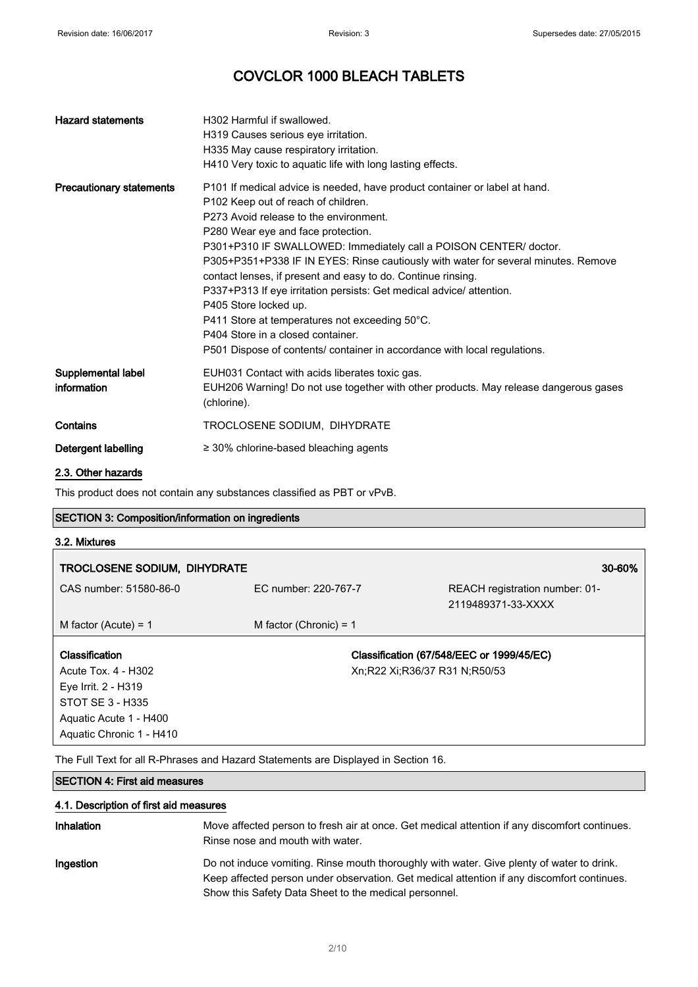| <b>Hazard statements</b>          | H302 Harmful if swallowed.<br>H319 Causes serious eye irritation.<br>H335 May cause respiratory irritation.<br>H410 Very toxic to aquatic life with long lasting effects.                                                                                                                                                                                                                                                                                                                                                                                                                                                                                                                         |
|-----------------------------------|---------------------------------------------------------------------------------------------------------------------------------------------------------------------------------------------------------------------------------------------------------------------------------------------------------------------------------------------------------------------------------------------------------------------------------------------------------------------------------------------------------------------------------------------------------------------------------------------------------------------------------------------------------------------------------------------------|
| <b>Precautionary statements</b>   | P101 If medical advice is needed, have product container or label at hand.<br>P102 Keep out of reach of children.<br>P273 Avoid release to the environment.<br>P280 Wear eye and face protection.<br>P301+P310 IF SWALLOWED: Immediately call a POISON CENTER/ doctor.<br>P305+P351+P338 IF IN EYES: Rinse cautiously with water for several minutes. Remove<br>contact lenses, if present and easy to do. Continue rinsing.<br>P337+P313 If eye irritation persists: Get medical advice/ attention.<br>P405 Store locked up.<br>P411 Store at temperatures not exceeding 50°C.<br>P404 Store in a closed container.<br>P501 Dispose of contents/ container in accordance with local regulations. |
| Supplemental label<br>information | EUH031 Contact with acids liberates toxic gas.<br>EUH206 Warning! Do not use together with other products. May release dangerous gases<br>(chlorine).                                                                                                                                                                                                                                                                                                                                                                                                                                                                                                                                             |
| Contains                          | TROCLOSENE SODIUM, DIHYDRATE                                                                                                                                                                                                                                                                                                                                                                                                                                                                                                                                                                                                                                                                      |
| Detergent labelling               | $\geq$ 30% chlorine-based bleaching agents                                                                                                                                                                                                                                                                                                                                                                                                                                                                                                                                                                                                                                                        |
| .                                 |                                                                                                                                                                                                                                                                                                                                                                                                                                                                                                                                                                                                                                                                                                   |

#### 2.3. Other hazards

This product does not contain any substances classified as PBT or vPvB.

### SECTION 3: Composition/information on ingredients

### 3.2. Mixtures

| TROCLOSENE SODIUM, DIHYDRATE |                               | 30-60%                                               |
|------------------------------|-------------------------------|------------------------------------------------------|
| CAS number: 51580-86-0       | EC number: 220-767-7          | REACH registration number: 01-<br>2119489371-33-XXXX |
| M factor (Acute) = $1$       | M factor (Chronic) = $1$      |                                                      |
| Classification               |                               | Classification (67/548/EEC or 1999/45/EC)            |
| Acute Tox. 4 - H302          | Xn;R22 Xi;R36/37 R31 N;R50/53 |                                                      |
| Eye Irrit. 2 - H319          |                               |                                                      |
| STOT SE 3 - H335             |                               |                                                      |
| Aquatic Acute 1 - H400       |                               |                                                      |
| Aquatic Chronic 1 - H410     |                               |                                                      |

The Full Text for all R-Phrases and Hazard Statements are Displayed in Section 16.

### SECTION 4: First aid measures

#### 4.1. Description of first aid measures

| <b>Inhalation</b> | Move affected person to fresh air at once. Get medical attention if any discomfort continues.<br>Rinse nose and mouth with water.                                                                                                                |
|-------------------|--------------------------------------------------------------------------------------------------------------------------------------------------------------------------------------------------------------------------------------------------|
| Ingestion         | Do not induce vomiting. Rinse mouth thoroughly with water. Give plenty of water to drink.<br>Keep affected person under observation. Get medical attention if any discomfort continues.<br>Show this Safety Data Sheet to the medical personnel. |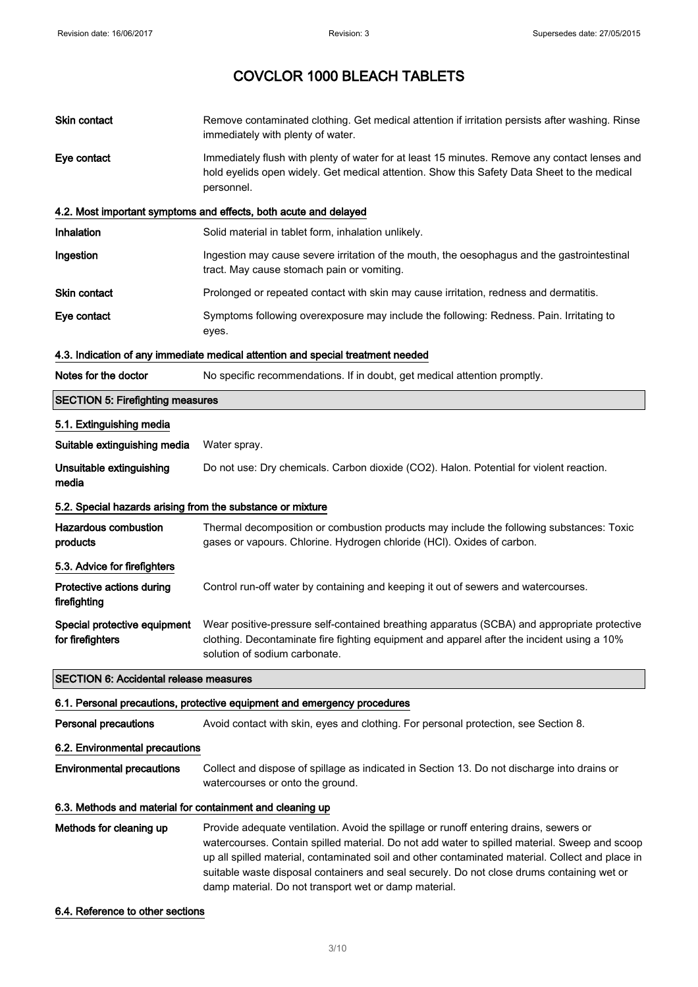| Skin contact                                               | Remove contaminated clothing. Get medical attention if irritation persists after washing. Rinse<br>immediately with plenty of water.                                                                                                                                                                                                                                                                                                              |
|------------------------------------------------------------|---------------------------------------------------------------------------------------------------------------------------------------------------------------------------------------------------------------------------------------------------------------------------------------------------------------------------------------------------------------------------------------------------------------------------------------------------|
| Eye contact                                                | Immediately flush with plenty of water for at least 15 minutes. Remove any contact lenses and<br>hold eyelids open widely. Get medical attention. Show this Safety Data Sheet to the medical<br>personnel.                                                                                                                                                                                                                                        |
|                                                            | 4.2. Most important symptoms and effects, both acute and delayed                                                                                                                                                                                                                                                                                                                                                                                  |
| Inhalation                                                 | Solid material in tablet form, inhalation unlikely.                                                                                                                                                                                                                                                                                                                                                                                               |
| Ingestion                                                  | Ingestion may cause severe irritation of the mouth, the oesophagus and the gastrointestinal<br>tract. May cause stomach pain or vomiting.                                                                                                                                                                                                                                                                                                         |
| Skin contact                                               | Prolonged or repeated contact with skin may cause irritation, redness and dermatitis.                                                                                                                                                                                                                                                                                                                                                             |
| Eye contact                                                | Symptoms following overexposure may include the following: Redness. Pain. Irritating to<br>eyes.                                                                                                                                                                                                                                                                                                                                                  |
|                                                            | 4.3. Indication of any immediate medical attention and special treatment needed                                                                                                                                                                                                                                                                                                                                                                   |
| Notes for the doctor                                       | No specific recommendations. If in doubt, get medical attention promptly.                                                                                                                                                                                                                                                                                                                                                                         |
| <b>SECTION 5: Firefighting measures</b>                    |                                                                                                                                                                                                                                                                                                                                                                                                                                                   |
| 5.1. Extinguishing media                                   |                                                                                                                                                                                                                                                                                                                                                                                                                                                   |
| Suitable extinguishing media                               | Water spray.                                                                                                                                                                                                                                                                                                                                                                                                                                      |
| Unsuitable extinguishing<br>media                          | Do not use: Dry chemicals. Carbon dioxide (CO2). Halon. Potential for violent reaction.                                                                                                                                                                                                                                                                                                                                                           |
| 5.2. Special hazards arising from the substance or mixture |                                                                                                                                                                                                                                                                                                                                                                                                                                                   |
| <b>Hazardous combustion</b><br>products                    | Thermal decomposition or combustion products may include the following substances: Toxic<br>gases or vapours. Chlorine. Hydrogen chloride (HCl). Oxides of carbon.                                                                                                                                                                                                                                                                                |
| 5.3. Advice for firefighters                               |                                                                                                                                                                                                                                                                                                                                                                                                                                                   |
| Protective actions during<br>firefighting                  | Control run-off water by containing and keeping it out of sewers and watercourses.                                                                                                                                                                                                                                                                                                                                                                |
| Special protective equipment<br>for firefighters           | Wear positive-pressure self-contained breathing apparatus (SCBA) and appropriate protective<br>clothing. Decontaminate fire fighting equipment and apparel after the incident using a 10%<br>solution of sodium carbonate.                                                                                                                                                                                                                        |
| <b>SECTION 6: Accidental release measures</b>              |                                                                                                                                                                                                                                                                                                                                                                                                                                                   |
|                                                            | 6.1. Personal precautions, protective equipment and emergency procedures                                                                                                                                                                                                                                                                                                                                                                          |
| <b>Personal precautions</b>                                | Avoid contact with skin, eyes and clothing. For personal protection, see Section 8.                                                                                                                                                                                                                                                                                                                                                               |
| 6.2. Environmental precautions                             |                                                                                                                                                                                                                                                                                                                                                                                                                                                   |
| <b>Environmental precautions</b>                           | Collect and dispose of spillage as indicated in Section 13. Do not discharge into drains or<br>watercourses or onto the ground.                                                                                                                                                                                                                                                                                                                   |
| 6.3. Methods and material for containment and cleaning up  |                                                                                                                                                                                                                                                                                                                                                                                                                                                   |
| Methods for cleaning up                                    | Provide adequate ventilation. Avoid the spillage or runoff entering drains, sewers or<br>watercourses. Contain spilled material. Do not add water to spilled material. Sweep and scoop<br>up all spilled material, contaminated soil and other contaminated material. Collect and place in<br>suitable waste disposal containers and seal securely. Do not close drums containing wet or<br>damp material. Do not transport wet or damp material. |

#### 6.4. Reference to other sections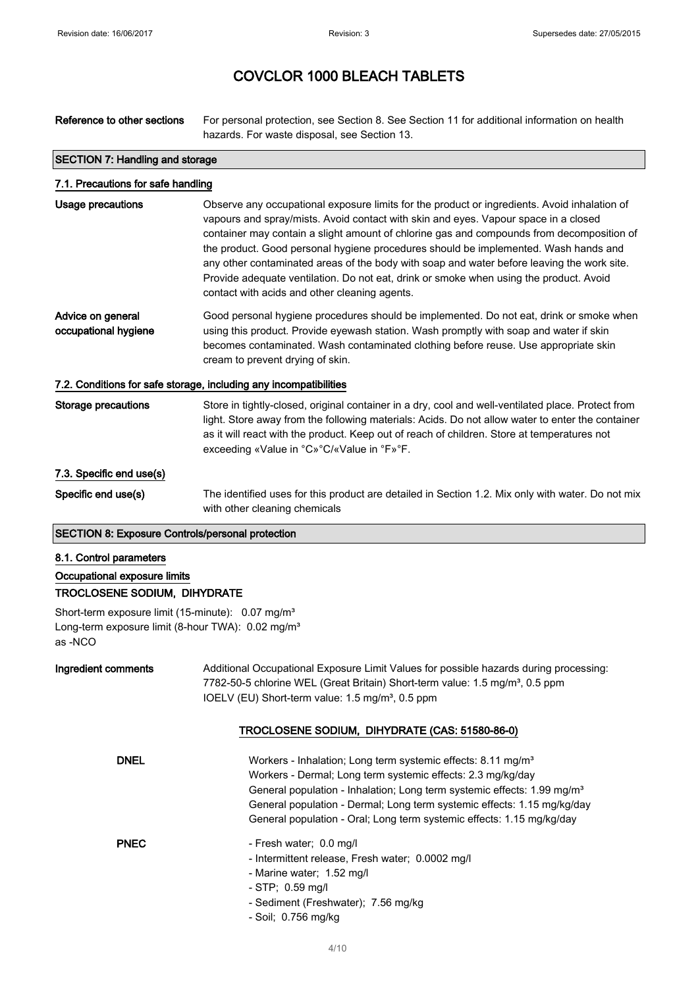Reference to other sections For personal protection, see Section 8. See Section 11 for additional information on health hazards. For waste disposal, see Section 13. SECTION 7: Handling and storage 7.1. Precautions for safe handling Usage precautions **Observe any occupational exposure limits for the product or ingredients.** Avoid inhalation of vapours and spray/mists. Avoid contact with skin and eyes. Vapour space in a closed container may contain a slight amount of chlorine gas and compounds from decomposition of the product. Good personal hygiene procedures should be implemented. Wash hands and any other contaminated areas of the body with soap and water before leaving the work site. Provide adequate ventilation. Do not eat, drink or smoke when using the product. Avoid contact with acids and other cleaning agents. Advice on general occupational hygiene Good personal hygiene procedures should be implemented. Do not eat, drink or smoke when using this product. Provide eyewash station. Wash promptly with soap and water if skin becomes contaminated. Wash contaminated clothing before reuse. Use appropriate skin cream to prevent drying of skin. 7.2. Conditions for safe storage, including any incompatibilities Storage precautions Store in tightly-closed, original container in a dry, cool and well-ventilated place. Protect from light. Store away from the following materials: Acids. Do not allow water to enter the container as it will react with the product. Keep out of reach of children. Store at temperatures not exceeding «Value in °C»°C/«Value in °F»°F. 7.3. Specific end use(s) Specific end use(s) The identified uses for this product are detailed in Section 1.2. Mix only with water. Do not mix with other cleaning chemicals SECTION 8: Exposure Controls/personal protection 8.1. Control parameters Occupational exposure limits TROCLOSENE SODIUM, DIHYDRATE Short-term exposure limit (15-minute): 0.07 mg/m<sup>3</sup> Long-term exposure limit (8-hour TWA): 0.02 mg/m<sup>3</sup> as -NCO Ingredient comments Additional Occupational Exposure Limit Values for possible hazards during processing: 7782-50-5 chlorine WEL (Great Britain) Short-term value: 1.5 mg/m<sup>3</sup>, 0.5 ppm IOELV (EU) Short-term value: 1.5 mg/m<sup>3</sup>, 0.5 ppm TROCLOSENE SODIUM, DIHYDRATE (CAS: 51580-86-0) DNEL Workers - Inhalation; Long term systemic effects: 8.11 mg/m<sup>3</sup> Workers - Dermal; Long term systemic effects: 2.3 mg/kg/day General population - Inhalation; Long term systemic effects: 1.99 mg/m<sup>3</sup> General population - Dermal; Long term systemic effects: 1.15 mg/kg/day General population - Oral; Long term systemic effects: 1.15 mg/kg/day PNEC - Fresh water; 0.0 mg/l - Intermittent release, Fresh water; 0.0002 mg/l - Marine water; 1.52 mg/l - STP; 0.59 mg/l

- Sediment (Freshwater); 7.56 mg/kg
- Soil; 0.756 mg/kg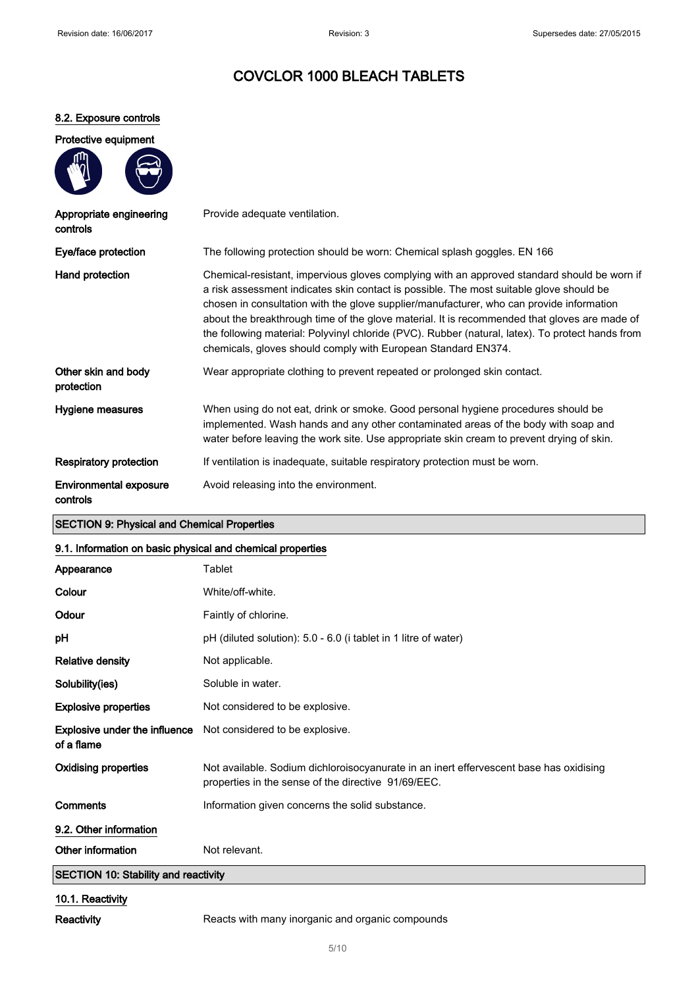### 8.2. Exposure controls

|    | Protective equipment |
|----|----------------------|
| ጠነ |                      |



| Appropriate engineering<br>controls | Provide adequate ventilation.                                                                                                                                                                                                                                                                                                                                                                                                                                                                                                                           |
|-------------------------------------|---------------------------------------------------------------------------------------------------------------------------------------------------------------------------------------------------------------------------------------------------------------------------------------------------------------------------------------------------------------------------------------------------------------------------------------------------------------------------------------------------------------------------------------------------------|
| Eye/face protection                 | The following protection should be worn: Chemical splash goggles. EN 166                                                                                                                                                                                                                                                                                                                                                                                                                                                                                |
| Hand protection                     | Chemical-resistant, impervious gloves complying with an approved standard should be worn if<br>a risk assessment indicates skin contact is possible. The most suitable glove should be<br>chosen in consultation with the glove supplier/manufacturer, who can provide information<br>about the breakthrough time of the glove material. It is recommended that gloves are made of<br>the following material: Polyvinyl chloride (PVC). Rubber (natural, latex). To protect hands from<br>chemicals, gloves should comply with European Standard EN374. |
| Other skin and body<br>protection   | Wear appropriate clothing to prevent repeated or prolonged skin contact.                                                                                                                                                                                                                                                                                                                                                                                                                                                                                |
| Hygiene measures                    | When using do not eat, drink or smoke. Good personal hygiene procedures should be<br>implemented. Wash hands and any other contaminated areas of the body with soap and<br>water before leaving the work site. Use appropriate skin cream to prevent drying of skin.                                                                                                                                                                                                                                                                                    |
| Respiratory protection              | If ventilation is inadequate, suitable respiratory protection must be worn.                                                                                                                                                                                                                                                                                                                                                                                                                                                                             |
| Environmental exposure<br>controls  | Avoid releasing into the environment.                                                                                                                                                                                                                                                                                                                                                                                                                                                                                                                   |

### SECTION 9: Physical and Chemical Properties

### 9.1. Information on basic physical and chemical properties

| Appearance                                         | Tablet                                                                                                                                        |  |
|----------------------------------------------------|-----------------------------------------------------------------------------------------------------------------------------------------------|--|
| Colour                                             | White/off-white.                                                                                                                              |  |
| Odour                                              | Faintly of chlorine.                                                                                                                          |  |
| рH                                                 | pH (diluted solution): 5.0 - 6.0 (i tablet in 1 litre of water)                                                                               |  |
| <b>Relative density</b>                            | Not applicable.                                                                                                                               |  |
| Solubility(ies)                                    | Soluble in water.                                                                                                                             |  |
| <b>Explosive properties</b>                        | Not considered to be explosive.                                                                                                               |  |
| <b>Explosive under the influence</b><br>of a flame | Not considered to be explosive.                                                                                                               |  |
| <b>Oxidising properties</b>                        | Not available. Sodium dichloroisocyanurate in an inert effervescent base has oxidising<br>properties in the sense of the directive 91/69/EEC. |  |
| Comments                                           | Information given concerns the solid substance.                                                                                               |  |
| 9.2. Other information                             |                                                                                                                                               |  |
| Other information                                  | Not relevant.                                                                                                                                 |  |
| <b>SECTION 10: Stability and reactivity</b>        |                                                                                                                                               |  |
| 10.1. Reactivity                                   |                                                                                                                                               |  |

Reactivity Reacts with many inorganic and organic compounds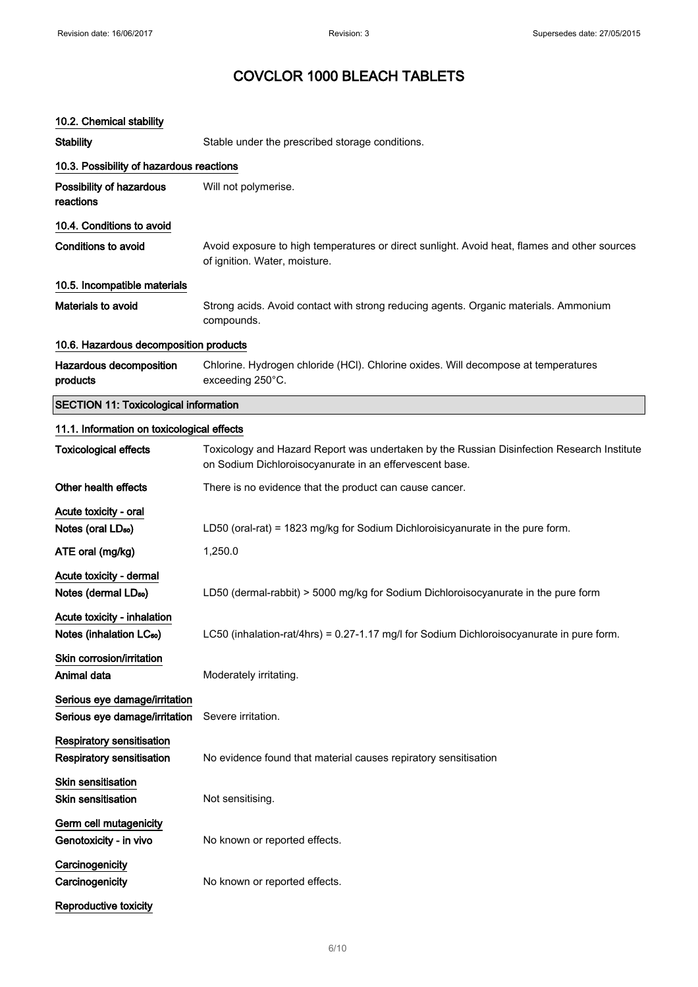### 10.2. Chemical stability

Reproductive toxicity

| <b>10.2. Criemical Stability</b>                                    |                                                                                                                                                       |
|---------------------------------------------------------------------|-------------------------------------------------------------------------------------------------------------------------------------------------------|
| <b>Stability</b>                                                    | Stable under the prescribed storage conditions.                                                                                                       |
| 10.3. Possibility of hazardous reactions                            |                                                                                                                                                       |
| Possibility of hazardous<br>reactions                               | Will not polymerise.                                                                                                                                  |
| 10.4. Conditions to avoid                                           |                                                                                                                                                       |
| <b>Conditions to avoid</b>                                          | Avoid exposure to high temperatures or direct sunlight. Avoid heat, flames and other sources<br>of ignition. Water, moisture.                         |
| 10.5. Incompatible materials                                        |                                                                                                                                                       |
| Materials to avoid                                                  | Strong acids. Avoid contact with strong reducing agents. Organic materials. Ammonium<br>compounds.                                                    |
| 10.6. Hazardous decomposition products                              |                                                                                                                                                       |
| Hazardous decomposition<br>products                                 | Chlorine. Hydrogen chloride (HCI). Chlorine oxides. Will decompose at temperatures<br>exceeding 250°C.                                                |
| <b>SECTION 11: Toxicological information</b>                        |                                                                                                                                                       |
| 11.1. Information on toxicological effects                          |                                                                                                                                                       |
| <b>Toxicological effects</b>                                        | Toxicology and Hazard Report was undertaken by the Russian Disinfection Research Institute<br>on Sodium Dichloroisocyanurate in an effervescent base. |
| Other health effects                                                | There is no evidence that the product can cause cancer.                                                                                               |
| Acute toxicity - oral                                               |                                                                                                                                                       |
| Notes (oral LD <sub>50</sub> )                                      | LD50 (oral-rat) = 1823 mg/kg for Sodium Dichloroisicyanurate in the pure form.                                                                        |
| ATE oral (mg/kg)                                                    | 1,250.0                                                                                                                                               |
| Acute toxicity - dermal                                             |                                                                                                                                                       |
| Notes (dermal LD <sub>50</sub> )                                    | LD50 (dermal-rabbit) > 5000 mg/kg for Sodium Dichloroisocyanurate in the pure form                                                                    |
| Acute toxicity - inhalation<br>Notes (inhalation LC <sub>50</sub> ) | LC50 (inhalation-rat/4hrs) = 0.27-1.17 mg/l for Sodium Dichloroisocyanurate in pure form.                                                             |
| Skin corrosion/irritation<br>Animal data                            | Moderately irritating.                                                                                                                                |
| Serious eye damage/irritation<br>Serious eye damage/irritation      | Severe irritation.                                                                                                                                    |
| <b>Respiratory sensitisation</b><br>Respiratory sensitisation       | No evidence found that material causes repiratory sensitisation                                                                                       |
| Skin sensitisation<br>Skin sensitisation                            | Not sensitising.                                                                                                                                      |
| Germ cell mutagenicity<br>Genotoxicity - in vivo                    | No known or reported effects.                                                                                                                         |
| Carcinogenicity<br>Carcinogenicity                                  | No known or reported effects.                                                                                                                         |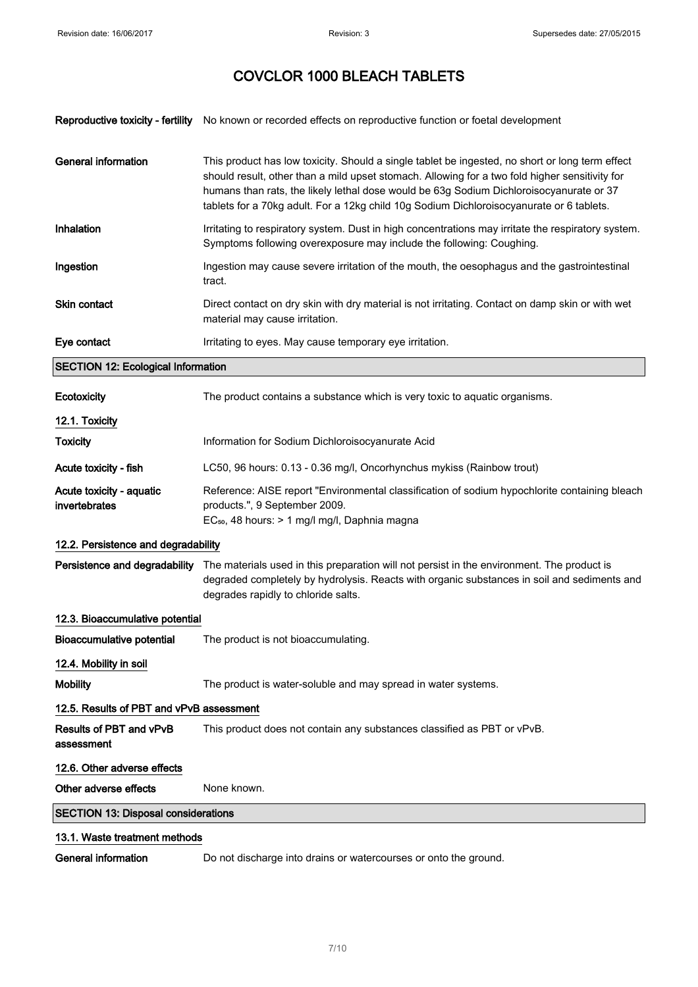|                                              | Reproductive toxicity - fertility No known or recorded effects on reproductive function or foetal development                                                                                                                                                                                                                                                                            |
|----------------------------------------------|------------------------------------------------------------------------------------------------------------------------------------------------------------------------------------------------------------------------------------------------------------------------------------------------------------------------------------------------------------------------------------------|
| <b>General information</b>                   | This product has low toxicity. Should a single tablet be ingested, no short or long term effect<br>should result, other than a mild upset stomach. Allowing for a two fold higher sensitivity for<br>humans than rats, the likely lethal dose would be 63g Sodium Dichloroisocyanurate or 37<br>tablets for a 70kg adult. For a 12kg child 10g Sodium Dichloroisocyanurate or 6 tablets. |
| Inhalation                                   | Irritating to respiratory system. Dust in high concentrations may irritate the respiratory system.<br>Symptoms following overexposure may include the following: Coughing.                                                                                                                                                                                                               |
| Ingestion                                    | Ingestion may cause severe irritation of the mouth, the oesophagus and the gastrointestinal<br>tract.                                                                                                                                                                                                                                                                                    |
| Skin contact                                 | Direct contact on dry skin with dry material is not irritating. Contact on damp skin or with wet<br>material may cause irritation.                                                                                                                                                                                                                                                       |
| Eye contact                                  | Irritating to eyes. May cause temporary eye irritation.                                                                                                                                                                                                                                                                                                                                  |
| <b>SECTION 12: Ecological Information</b>    |                                                                                                                                                                                                                                                                                                                                                                                          |
| Ecotoxicity                                  | The product contains a substance which is very toxic to aquatic organisms.                                                                                                                                                                                                                                                                                                               |
| 12.1. Toxicity                               |                                                                                                                                                                                                                                                                                                                                                                                          |
| <b>Toxicity</b>                              | Information for Sodium Dichloroisocyanurate Acid                                                                                                                                                                                                                                                                                                                                         |
| Acute toxicity - fish                        | LC50, 96 hours: 0.13 - 0.36 mg/l, Oncorhynchus mykiss (Rainbow trout)                                                                                                                                                                                                                                                                                                                    |
| Acute toxicity - aquatic<br>invertebrates    | Reference: AISE report "Environmental classification of sodium hypochlorite containing bleach<br>products.", 9 September 2009.<br>EC <sub>50</sub> , 48 hours: > 1 mg/l mg/l, Daphnia magna                                                                                                                                                                                              |
| 12.2. Persistence and degradability          |                                                                                                                                                                                                                                                                                                                                                                                          |
| Persistence and degradability                | The materials used in this preparation will not persist in the environment. The product is<br>degraded completely by hydrolysis. Reacts with organic substances in soil and sediments and<br>degrades rapidly to chloride salts.                                                                                                                                                         |
| 12.3. Bioaccumulative potential              |                                                                                                                                                                                                                                                                                                                                                                                          |
| <b>Bioaccumulative potential</b>             | The product is not bioaccumulating.                                                                                                                                                                                                                                                                                                                                                      |
| 12.4. Mobility in soil                       |                                                                                                                                                                                                                                                                                                                                                                                          |
| <b>Mobility</b>                              | The product is water-soluble and may spread in water systems.                                                                                                                                                                                                                                                                                                                            |
| 12.5. Results of PBT and vPvB assessment     |                                                                                                                                                                                                                                                                                                                                                                                          |
| <b>Results of PBT and vPvB</b><br>assessment | This product does not contain any substances classified as PBT or vPvB.                                                                                                                                                                                                                                                                                                                  |
| 12.6. Other adverse effects                  |                                                                                                                                                                                                                                                                                                                                                                                          |
| Other adverse effects                        | None known.                                                                                                                                                                                                                                                                                                                                                                              |
| <b>SECTION 13: Disposal considerations</b>   |                                                                                                                                                                                                                                                                                                                                                                                          |
| 13.1. Waste treatment methods                |                                                                                                                                                                                                                                                                                                                                                                                          |
| <b>General information</b>                   | Do not discharge into drains or watercourses or onto the ground.                                                                                                                                                                                                                                                                                                                         |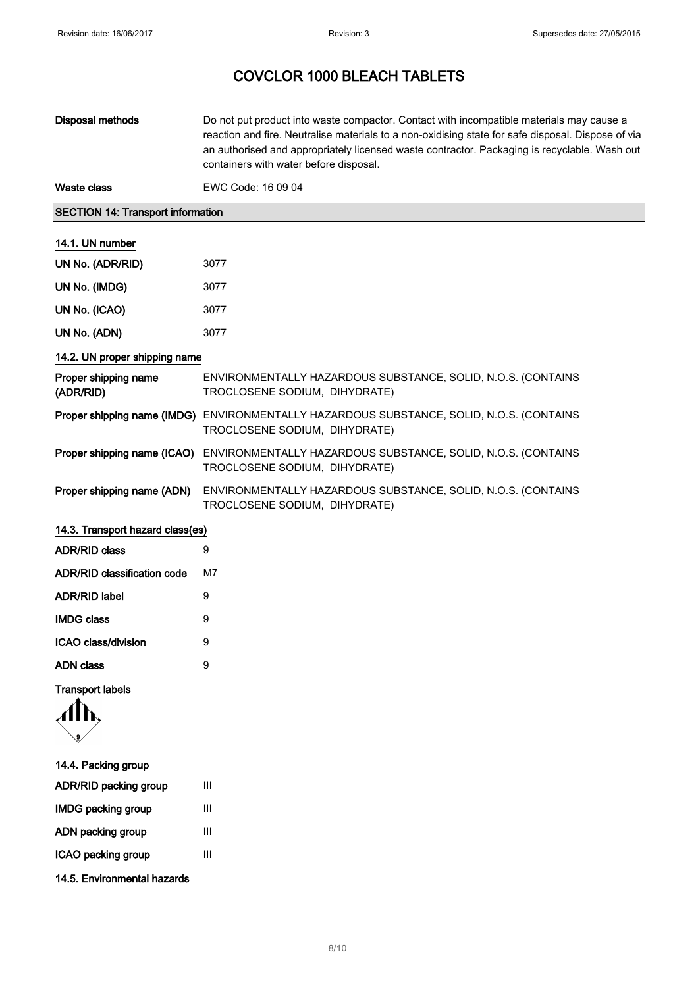| Disposal methods | Do not put product into waste compactor. Contact with incompatible materials may cause a<br>reaction and fire. Neutralise materials to a non-oxidising state for safe disposal. Dispose of via<br>an authorised and appropriately licensed waste contractor. Packaging is recyclable. Wash out<br>containers with water before disposal. |
|------------------|------------------------------------------------------------------------------------------------------------------------------------------------------------------------------------------------------------------------------------------------------------------------------------------------------------------------------------------|
| Waste class      | EWC Code: 16 09 04                                                                                                                                                                                                                                                                                                                       |

### SECTION 14: Transport information

### 14.1. UN number

| UN No. (ADR/RID) | 3077 |
|------------------|------|
| UN No. (IMDG)    | 3077 |
| UN No. (ICAO)    | 3077 |
| UN No. (ADN)     | 3077 |

### 14.2. UN proper shipping name

| Proper shipping name<br>(ADR/RID) | ENVIRONMENTALLY HAZARDOUS SUBSTANCE, SOLID, N.O.S. (CONTAINS<br>TROCLOSENE SODIUM, DIHYDRATE) |
|-----------------------------------|-----------------------------------------------------------------------------------------------|
| Proper shipping name (IMDG)       | ENVIRONMENTALLY HAZARDOUS SUBSTANCE, SOLID, N.O.S. (CONTAINS<br>TROCLOSENE SODIUM, DIHYDRATE) |
| Proper shipping name (ICAO)       | ENVIRONMENTALLY HAZARDOUS SUBSTANCE, SOLID, N.O.S. (CONTAINS<br>TROCLOSENE SODIUM, DIHYDRATE) |
| Proper shipping name (ADN)        | ENVIRONMENTALLY HAZARDOUS SUBSTANCE, SOLID, N.O.S. (CONTAINS<br>TROCLOSENE SODIUM, DIHYDRATE) |

|  | 14.3. Transport hazard class(es) |  |  |  |  |
|--|----------------------------------|--|--|--|--|
|--|----------------------------------|--|--|--|--|

| ADR/RID class               | 9  |
|-----------------------------|----|
| ADR/RID classification code | M7 |
| ADR/RID label               | g  |
| IMDG class                  | 9  |
| ICAO class/division         | 9  |
| ADN class                   | g  |
|                             |    |

Transport labels

- 14.4. Packing group ADR/RID packing group III IMDG packing group III ADN packing group III ICAO packing group III
- 14.5. Environmental hazards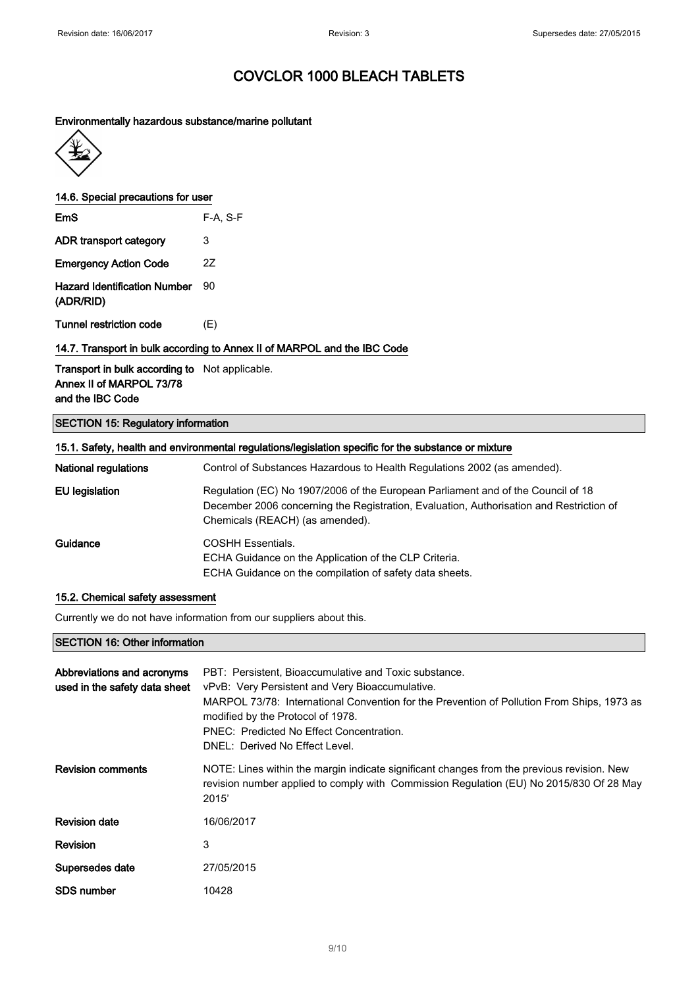#### Environmentally hazardous substance/marine pollutant



14.6. Special precautions for user

| EmS                          | $F-A, S-F$ |
|------------------------------|------------|
| ADR transport category       | 3          |
| <b>Emergency Action Code</b> | 27         |
|                              |            |

Hazard Identification Number 90 (ADR/RID)

Tunnel restriction code (E)

### 14.7. Transport in bulk according to Annex II of MARPOL and the IBC Code

Transport in bulk according to Not applicable. Annex II of MARPOL 73/78 and the IBC Code

### SECTION 15: Regulatory information

| 15.1. Safety, health and environmental regulations/legislation specific for the substance or mixture |                                                                                                                                                                                                                |  |
|------------------------------------------------------------------------------------------------------|----------------------------------------------------------------------------------------------------------------------------------------------------------------------------------------------------------------|--|
| <b>National regulations</b>                                                                          | Control of Substances Hazardous to Health Regulations 2002 (as amended).                                                                                                                                       |  |
| EU legislation                                                                                       | Regulation (EC) No 1907/2006 of the European Parliament and of the Council of 18<br>December 2006 concerning the Registration, Evaluation, Authorisation and Restriction of<br>Chemicals (REACH) (as amended). |  |
| Guidance                                                                                             | <b>COSHH Essentials.</b><br>ECHA Guidance on the Application of the CLP Criteria.<br>ECHA Guidance on the compilation of safety data sheets.                                                                   |  |

#### 15.2. Chemical safety assessment

Currently we do not have information from our suppliers about this.

#### SECTION 16: Other information

| Abbreviations and acronyms<br>used in the safety data sheet | PBT: Persistent, Bioaccumulative and Toxic substance.<br>vPvB: Very Persistent and Very Bioaccumulative.<br>MARPOL 73/78: International Convention for the Prevention of Pollution From Ships, 1973 as<br>modified by the Protocol of 1978.<br>PNEC: Predicted No Effect Concentration.<br>DNEL: Derived No Effect Level. |
|-------------------------------------------------------------|---------------------------------------------------------------------------------------------------------------------------------------------------------------------------------------------------------------------------------------------------------------------------------------------------------------------------|
| <b>Revision comments</b>                                    | NOTE: Lines within the margin indicate significant changes from the previous revision. New<br>revision number applied to comply with Commission Regulation (EU) No 2015/830 Of 28 May<br>2015'                                                                                                                            |
| <b>Revision date</b>                                        | 16/06/2017                                                                                                                                                                                                                                                                                                                |
| <b>Revision</b>                                             | 3                                                                                                                                                                                                                                                                                                                         |
| Supersedes date                                             | 27/05/2015                                                                                                                                                                                                                                                                                                                |
| SDS number                                                  | 10428                                                                                                                                                                                                                                                                                                                     |